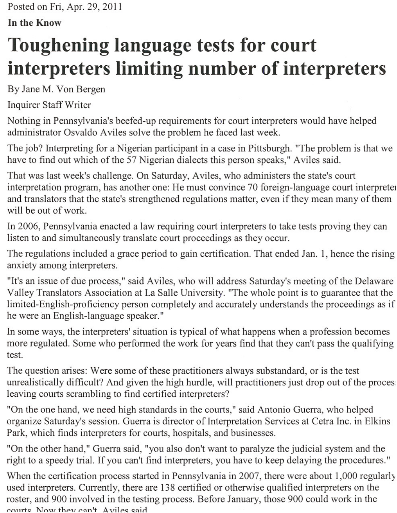Posted on Fri, Apr. 29,2011

**In the Know**

## **Toughening language tests for court interpreters limiting number of interpreters**

By Jane M. Von Bergen

Inquirer Staff Writer

Nothing in Pennsylvania's beefed-up requirements for court interpreters would have helped administrator Osvaldo Aviles solve the problem he faced last week.

The job? Interpreting for a Nigerian participant in a case in Pittsburgh. "The problem is that we have to find out which of the 57 Nigerian dialects this person speaks," Aviles said.

That was last week's challenge. On Saturday, Aviles, who administers the state's court interpretation program, has another one: He must convince 70 foreign-language court interpreter and translators that the state's strengthened regulations matter, even if they mean many of them will be out of work.

In 2006, Pennsylvania enacted a law requiring court interpreters to take tests proving they can listen to and simultaneously translate court proceedings as they occur.

The regulations included a grace period to gain certification. That ended Jan. 1, hence the rising anxiety among interpreters.

"It's an issue of due process," said Aviles, who will address Saturday's meeting of the Delaware Valley Translators Association at La Salle University. "The whole point is to guarantee that the limited-English-proficiency person completely and accurately understands the proceedings as if he were an English-language speaker."

In some ways, the interpreters' situation is typical of what happens when a profession becomes more regulated. Some who performed the work for years find that they can't pass the qualifying test.

The question arises: Were some of these practitioners always substandard, or is the test unrealistically difficult? And given the high hurdle, will practitioners just drop out of the proces; leaving courts scrambling to find certified interpreters?

"On the one hand, we need high standards in the courts," said Antonio Guerra, who helped organize Saturday's session. Guerra is director of Interpretation Services at Cetra Inc. in Elkins Park, which finds interpreters for courts, hospitals, and businesses.

"On the other hand," Guerra said, "you also don't want to paralyze the judicial system and the right to a speedy trial. If you can't find interpreters, you have to keep delaying the procedures."

When the certification process started in Pennsylvania in 2007, there were about 1,000 regularly used interpreters. Currently, there are 138 certified or otherwise qualified interpreters on the roster, and 900 involved in the testing process. Before January, those 900 could work in the  $_{\rm convrts}$  Now they can't Aviles said